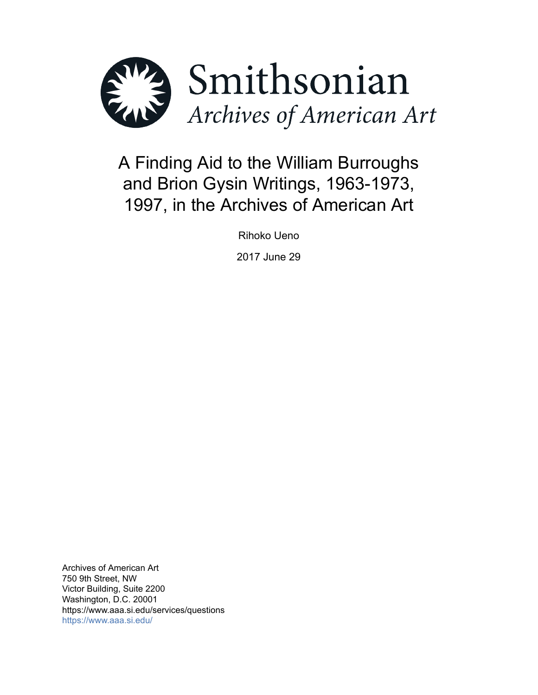

# A Finding Aid to the William Burroughs and Brion Gysin Writings, 1963-1973, 1997, in the Archives of American Art

Rihoko Ueno

2017 June 29

Archives of American Art 750 9th Street, NW Victor Building, Suite 2200 Washington, D.C. 20001 https://www.aaa.si.edu/services/questions <https://www.aaa.si.edu/>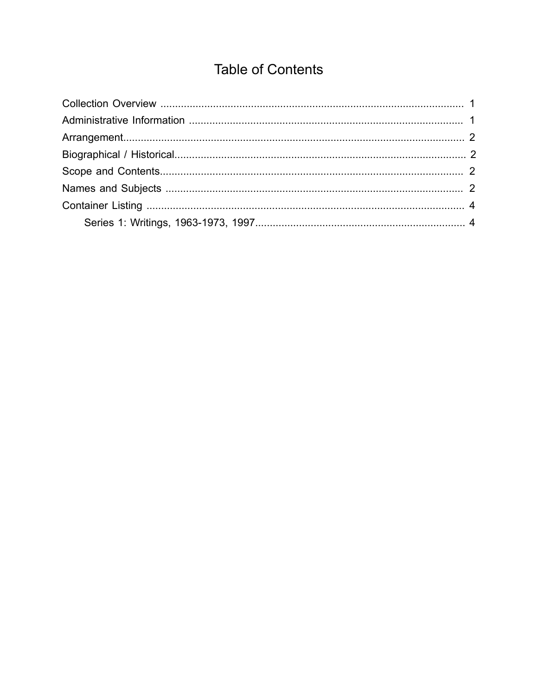## **Table of Contents**

<span id="page-1-0"></span>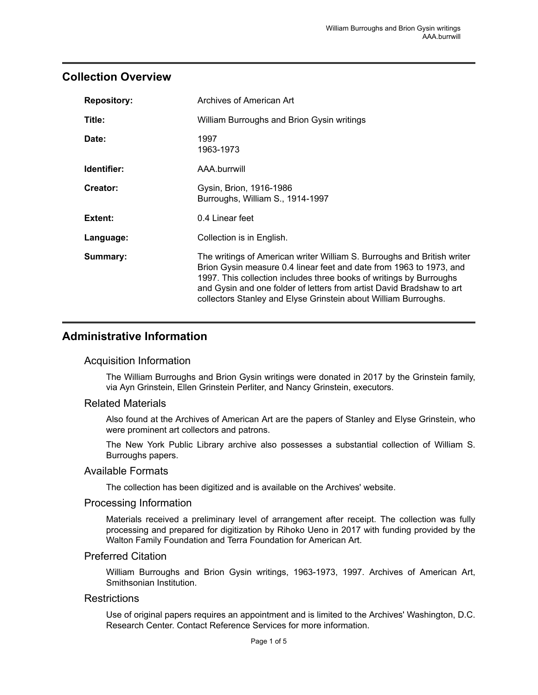### <span id="page-2-0"></span>**Collection Overview**

| <b>Repository:</b> | Archives of American Art                                                                                                                                                                                                                                                                                                                                          |  |  |
|--------------------|-------------------------------------------------------------------------------------------------------------------------------------------------------------------------------------------------------------------------------------------------------------------------------------------------------------------------------------------------------------------|--|--|
| Title:             | William Burroughs and Brion Gysin writings                                                                                                                                                                                                                                                                                                                        |  |  |
| Date:              | 1997<br>1963-1973                                                                                                                                                                                                                                                                                                                                                 |  |  |
| Identifier:        | AAA.burrwill                                                                                                                                                                                                                                                                                                                                                      |  |  |
| Creator:           | Gysin, Brion, 1916-1986<br>Burroughs, William S., 1914-1997                                                                                                                                                                                                                                                                                                       |  |  |
| Extent:            | 0.4 Linear feet                                                                                                                                                                                                                                                                                                                                                   |  |  |
| Language:          | Collection is in English.                                                                                                                                                                                                                                                                                                                                         |  |  |
| Summary:           | The writings of American writer William S. Burroughs and British writer<br>Brion Gysin measure 0.4 linear feet and date from 1963 to 1973, and<br>1997. This collection includes three books of writings by Burroughs<br>and Gysin and one folder of letters from artist David Bradshaw to art<br>collectors Stanley and Elyse Grinstein about William Burroughs. |  |  |

## <span id="page-2-1"></span>**Administrative Information**

#### Acquisition Information

The William Burroughs and Brion Gysin writings were donated in 2017 by the Grinstein family, via Ayn Grinstein, Ellen Grinstein Perliter, and Nancy Grinstein, executors.

#### Related Materials

Also found at the Archives of American Art are the papers of Stanley and Elyse Grinstein, who were prominent art collectors and patrons.

The New York Public Library archive also possesses a substantial collection of William S. Burroughs papers.

#### Available Formats

The collection has been digitized and is available on the Archives' website.

#### Processing Information

Materials received a preliminary level of arrangement after receipt. The collection was fully processing and prepared for digitization by Rihoko Ueno in 2017 with funding provided by the Walton Family Foundation and Terra Foundation for American Art.

#### Preferred Citation

William Burroughs and Brion Gysin writings, 1963-1973, 1997. Archives of American Art, Smithsonian Institution.

#### **Restrictions**

Use of original papers requires an appointment and is limited to the Archives' Washington, D.C. Research Center. Contact Reference Services for more information.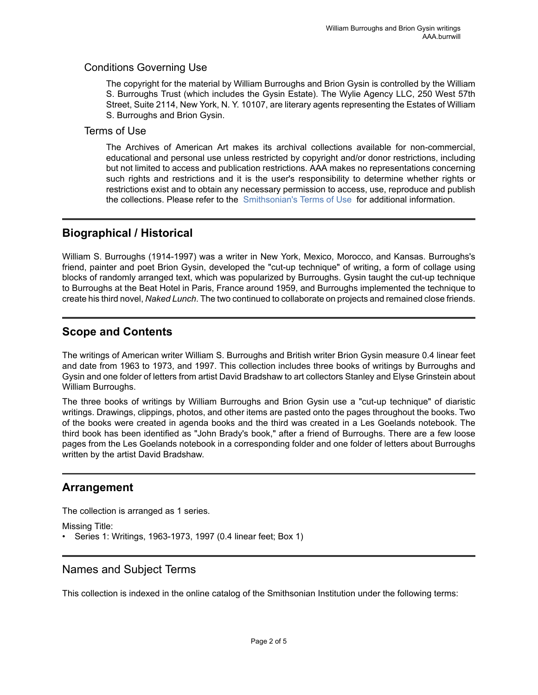#### Conditions Governing Use

The copyright for the material by William Burroughs and Brion Gysin is controlled by the William S. Burroughs Trust (which includes the Gysin Estate). The Wylie Agency LLC, 250 West 57th Street, Suite 2114, New York, N. Y. 10107, are literary agents representing the Estates of William S. Burroughs and Brion Gysin.

#### Terms of Use

The Archives of American Art makes its archival collections available for non-commercial, educational and personal use unless restricted by copyright and/or donor restrictions, including but not limited to access and publication restrictions. AAA makes no representations concerning such rights and restrictions and it is the user's responsibility to determine whether rights or restrictions exist and to obtain any necessary permission to access, use, reproduce and publish the collections. Please refer to the [Smithsonian's](https://www.si.edu/termsofuse) Terms of Use for additional information.

## <span id="page-3-1"></span>**Biographical / Historical**

William S. Burroughs (1914-1997) was a writer in New York, Mexico, Morocco, and Kansas. Burroughs's friend, painter and poet Brion Gysin, developed the "cut-up technique" of writing, a form of collage using blocks of randomly arranged text, which was popularized by Burroughs. Gysin taught the cut-up technique to Burroughs at the Beat Hotel in Paris, France around 1959, and Burroughs implemented the technique to create his third novel, *Naked Lunch*. The two continued to collaborate on projects and remained close friends.

## <span id="page-3-2"></span>**Scope and Contents**

The writings of American writer William S. Burroughs and British writer Brion Gysin measure 0.4 linear feet and date from 1963 to 1973, and 1997. This collection includes three books of writings by Burroughs and Gysin and one folder of letters from artist David Bradshaw to art collectors Stanley and Elyse Grinstein about William Burroughs.

The three books of writings by William Burroughs and Brion Gysin use a "cut-up technique" of diaristic writings. Drawings, clippings, photos, and other items are pasted onto the pages throughout the books. Two of the books were created in agenda books and the third was created in a Les Goelands notebook. The third book has been identified as "John Brady's book," after a friend of Burroughs. There are a few loose pages from the Les Goelands notebook in a corresponding folder and one folder of letters about Burroughs written by the artist David Bradshaw.

## <span id="page-3-0"></span>**Arrangement**

The collection is arranged as 1 series.

Missing Title:

• Series 1: Writings, 1963-1973, 1997 (0.4 linear feet; Box 1)

## <span id="page-3-3"></span>Names and Subject Terms

This collection is indexed in the online catalog of the Smithsonian Institution under the following terms: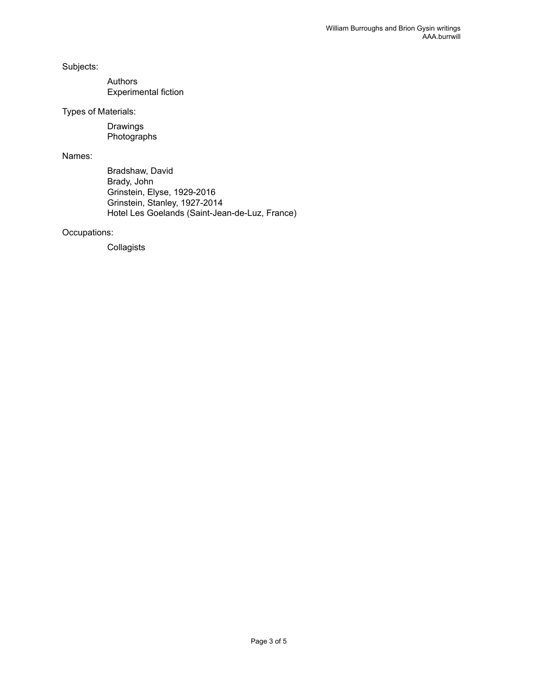Subjects:

Authors Experimental fiction

Types of Materials:

Drawings Photographs

Names:

Bradshaw, David Brady, John Grinstein, Elyse, 1929-2016 Grinstein, Stanley, 1927-2014 Hotel Les Goelands (Saint-Jean-de-Luz, France)

#### Occupations:

Collagists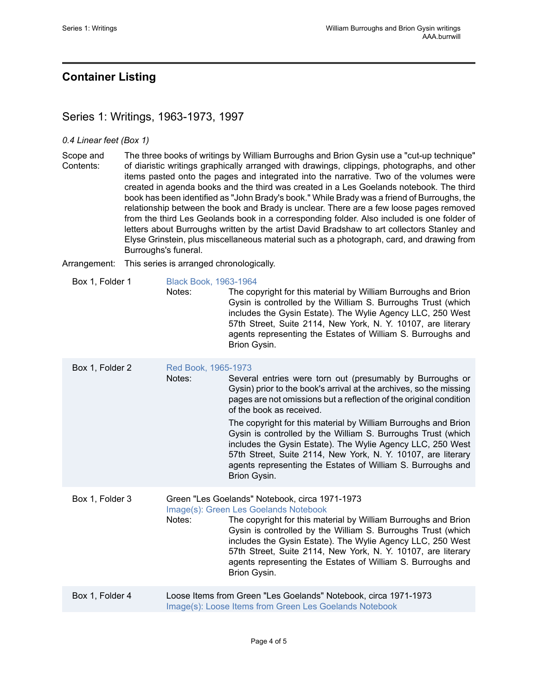## <span id="page-5-0"></span>**Container Listing**

## <span id="page-5-1"></span>Series 1: Writings, 1963-1973, 1997

#### *0.4 Linear feet (Box 1)*

Scope and Contents: The three books of writings by William Burroughs and Brion Gysin use a "cut-up technique" of diaristic writings graphically arranged with drawings, clippings, photographs, and other items pasted onto the pages and integrated into the narrative. Two of the volumes were created in agenda books and the third was created in a Les Goelands notebook. The third book has been identified as "John Brady's book." While Brady was a friend of Burroughs, the relationship between the book and Brady is unclear. There are a few loose pages removed from the third Les Geolands book in a corresponding folder. Also included is one folder of letters about Burroughs written by the artist David Bradshaw to art collectors Stanley and Elyse Grinstein, plus miscellaneous material such as a photograph, card, and drawing from Burroughs's funeral.

Arrangement: This series is arranged chronologically.

Box 1, Folder 1 [Black Book, 1963-1964](https://www.aaa.si.edu/collections/william-burroughs-and-brion-gysin-writings-17446/#690221) Notes: The copyright for this material by William Burroughs and Brion Gysin is controlled by the William S. Burroughs Trust (which includes the Gysin Estate). The Wylie Agency LLC, 250 West 57th Street, Suite 2114, New York, N. Y. 10107, are literary agents representing the Estates of William S. Burroughs and Brion Gysin.

| Box 1, Folder 2 | Red Book, 1965-1973<br>Notes: | Several entries were torn out (presumably by Burroughs or<br>Gysin) prior to the book's arrival at the archives, so the missing<br>pages are not omissions but a reflection of the original condition<br>of the book as received.<br>The copyright for this material by William Burroughs and Brion<br>Gysin is controlled by the William S. Burroughs Trust (which<br>includes the Gysin Estate). The Wylie Agency LLC, 250 West<br>57th Street, Suite 2114, New York, N. Y. 10107, are literary<br>agents representing the Estates of William S. Burroughs and<br>Brion Gysin. |
|-----------------|-------------------------------|----------------------------------------------------------------------------------------------------------------------------------------------------------------------------------------------------------------------------------------------------------------------------------------------------------------------------------------------------------------------------------------------------------------------------------------------------------------------------------------------------------------------------------------------------------------------------------|
| Box 1, Folder 3 | Notes:                        | Green "Les Goelands" Notebook, circa 1971-1973<br>Image(s): Green Les Goelands Notebook<br>The copyright for this material by William Burroughs and Brion<br>Gysin is controlled by the William S. Burroughs Trust (which<br>includes the Gysin Estate). The Wylie Agency LLC, 250 West<br>57th Street, Suite 2114, New York, N. Y. 10107, are literary<br>agents representing the Estates of William S. Burroughs and<br>Brion Gysin.                                                                                                                                           |
| Box 1, Folder 4 |                               | Loose Items from Green "Les Goelands" Notebook, circa 1971-1973<br>Image(s): Loose Items from Green Les Goelands Notebook                                                                                                                                                                                                                                                                                                                                                                                                                                                        |